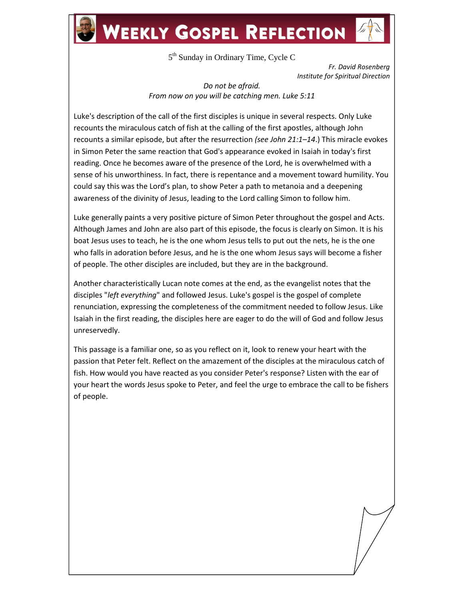## **WEEKLY GOSPEL REFLECTION**

5<sup>th</sup> Sunday in Ordinary Time, Cycle C

*Fr. David Rosenberg Institute for Spiritual Direction*

*Do not be afraid. From now on you will be catching men. Luke 5:11*

Luke's description of the call of the first disciples is unique in several respects. Only Luke recounts the miraculous catch of fish at the calling of the first apostles, although John recounts a similar episode, but after the resurrection *(see John 21:1–14*.) This miracle evokes in Simon Peter the same reaction that God's appearance evoked in Isaiah in today's first reading. Once he becomes aware of the presence of the Lord, he is overwhelmed with a sense of his unworthiness. In fact, there is repentance and a movement toward humility. You could say this was the Lord's plan, to show Peter a path to metanoia and a deepening awareness of the divinity of Jesus, leading to the Lord calling Simon to follow him.

Luke generally paints a very positive picture of Simon Peter throughout the gospel and Acts. Although James and John are also part of this episode, the focus is clearly on Simon. It is his boat Jesus uses to teach, he is the one whom Jesus tells to put out the nets, he is the one who falls in adoration before Jesus, and he is the one whom Jesus says will become a fisher of people. The other disciples are included, but they are in the background.

Another characteristically Lucan note comes at the end, as the evangelist notes that the disciples "*left everything*" and followed Jesus. Luke's gospel is the gospel of complete renunciation, expressing the completeness of the commitment needed to follow Jesus. Like Isaiah in the first reading, the disciples here are eager to do the will of God and follow Jesus unreservedly.

This passage is a familiar one, so as you reflect on it, look to renew your heart with the passion that Peter felt. Reflect on the amazement of the disciples at the miraculous catch of fish. How would you have reacted as you consider Peter's response? Listen with the ear of your heart the words Jesus spoke to Peter, and feel the urge to embrace the call to be fishers of people.